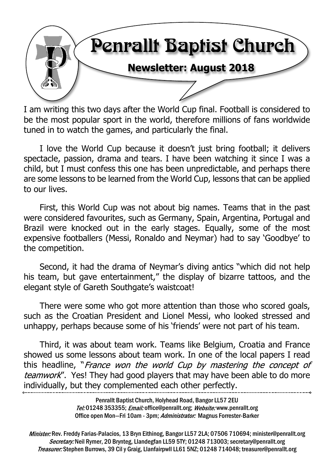

I am writing this two days after the World Cup final. Football is considered to be the most popular sport in the world, therefore millions of fans worldwide tuned in to watch the games, and particularly the final.

I love the World Cup because it doesn't just bring football; it delivers spectacle, passion, drama and tears. I have been watching it since I was a child, but I must confess this one has been unpredictable, and perhaps there are some lessons to be learned from the World Cup, lessons that can be applied to our lives.

First, this World Cup was not about big names. Teams that in the past were considered favourites, such as Germany, Spain, Argentina, Portugal and Brazil were knocked out in the early stages. Equally, some of the most expensive footballers (Messi, Ronaldo and Neymar) had to say 'Goodbye' to the competition.

Second, it had the drama of Neymar's diving antics "which did not help his team, but gave entertainment," the display of bizarre tattoos, and the elegant style of Gareth Southgate's waistcoat!

There were some who got more attention than those who scored goals, such as the Croatian President and Lionel Messi, who looked stressed and unhappy, perhaps because some of his 'friends' were not part of his team.

Third, it was about team work. Teams like Belgium, Croatia and France showed us some lessons about team work. In one of the local papers I read this headline, "France won the world Cup by mastering the concept of teamwork". Yes! They had good players that may have been able to do more individually, but they complemented each other perfectly.

> Penrallt Baptist Church, Holyhead Road, Bangor LL57 2EU Tel:01248 353355; Email: office@penrallt.org; Website: www.penrallt.org Office open Mon-Fri 10am - 3pm; Administrator: Magnus Forrester-Barker

Minister: Rev. Freddy Farias-Palacios, 13 Bryn Eithinog, Bangor LL57 2LA; 07506 710694; minister@penrallt.org Secretary: Neil Rymer, 20 Brynteg, Llandegfan LL59 5TY; 01248 713003; secretary@penrallt.org Treasurer: Stephen Burrows, 39 Cil y Graig, Llanfairpwll LL61 5NZ; 01248 714048; treasurer@penrallt.org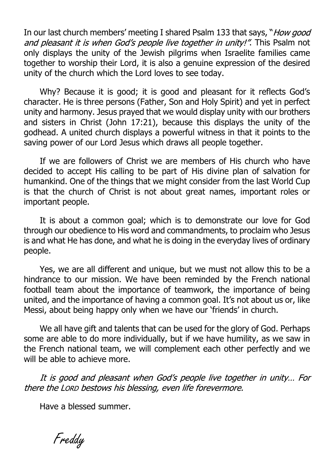In our last church members' meeting I shared Psalm 133 that says, "How good and pleasant it is when God's people live together in unity!". This Psalm not only displays the unity of the Jewish pilgrims when Israelite families came together to worship their Lord, it is also a genuine expression of the desired unity of the church which the Lord loves to see today.

Why? Because it is good; it is good and pleasant for it reflects God's character. He is three persons (Father, Son and Holy Spirit) and yet in perfect unity and harmony. Jesus prayed that we would display unity with our brothers and sisters in Christ (John 17:21), because this displays the unity of the godhead. A united church displays a powerful witness in that it points to the saving power of our Lord Jesus which draws all people together.

If we are followers of Christ we are members of His church who have decided to accept His calling to be part of His divine plan of salvation for humankind. One of the things that we might consider from the last World Cup is that the church of Christ is not about great names, important roles or important people.

It is about a common goal; which is to demonstrate our love for God through our obedience to His word and commandments, to proclaim who Jesus is and what He has done, and what he is doing in the everyday lives of ordinary people.

Yes, we are all different and unique, but we must not allow this to be a hindrance to our mission. We have been reminded by the French national football team about the importance of teamwork, the importance of being united, and the importance of having a common goal. It's not about us or, like Messi, about being happy only when we have our 'friends' in church.

We all have gift and talents that can be used for the glory of God. Perhaps some are able to do more individually, but if we have humility, as we saw in the French national team, we will complement each other perfectly and we will be able to achieve more.

It is good and pleasant when God's people live together in unity... For there the LORD bestows his blessing, even life forevermore.

Have a blessed summer.

Freddy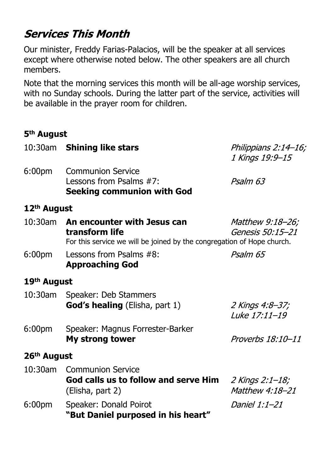# **Services This Month**

Our minister, Freddy Farias-Palacios, will be the speaker at all services except where otherwise noted below. The other speakers are all church members.

Note that the morning services this month will be all-age worship services, with no Sunday schools. During the latter part of the service, activities will be available in the prayer room for children.

#### **5th August**

|                         | 10:30am Shining like stars                                                                                                      | Philippians 2:14–16;<br>1 Kings 19:9-15 |  |  |  |
|-------------------------|---------------------------------------------------------------------------------------------------------------------------------|-----------------------------------------|--|--|--|
| 6:00 <sub>pm</sub>      | <b>Communion Service</b><br>Lessons from Psalms #7:<br><b>Seeking communion with God</b>                                        | Psalm 63                                |  |  |  |
| 12 <sup>th</sup> August |                                                                                                                                 |                                         |  |  |  |
|                         | 10:30am An encounter with Jesus can<br>transform life<br>For this service we will be joined by the congregation of Hope church. | Matthew 9:18-26;<br>Genesis 50:15-21    |  |  |  |
| 6:00 <sub>pm</sub>      | Lessons from Psalms #8:<br><b>Approaching God</b>                                                                               | Psalm 65                                |  |  |  |
| 19 <sup>th</sup> August |                                                                                                                                 |                                         |  |  |  |
|                         | 10:30am Speaker: Deb Stammers<br><b>God's healing</b> (Elisha, part 1)                                                          | 2 Kings 4:8-37;<br>Luke 17:11-19        |  |  |  |
| 6:00 <sub>pm</sub>      | Speaker: Magnus Forrester-Barker<br><b>My strong tower</b>                                                                      | Proverbs 18:10-11                       |  |  |  |
| 26 <sup>th</sup> August |                                                                                                                                 |                                         |  |  |  |
| 10:30am                 | <b>Communion Service</b><br>God calls us to follow and serve Him $2$ Kings 2:1-18;<br>(Elisha, part 2)                          | Matthew 4:18-21                         |  |  |  |
| 6:00 <sub>pm</sub>      | Speaker: Donald Poirot<br>"But Daniel purposed in his heart"                                                                    | <i>Daniel 1:1-21</i>                    |  |  |  |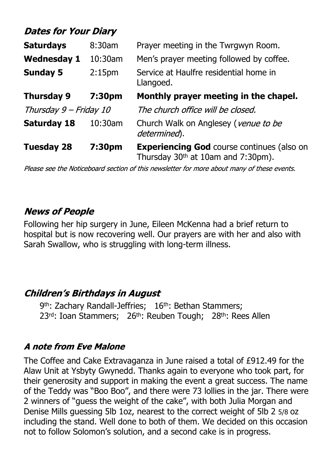## **Dates for Your Diary**

| <b>Saturdays</b>                      | 8:30am  | Prayer meeting in the Twrgwyn Room.                                                                 |  |
|---------------------------------------|---------|-----------------------------------------------------------------------------------------------------|--|
| <b>Wednesday 1</b>                    | 10:30am | Men's prayer meeting followed by coffee.                                                            |  |
| <b>Sunday 5</b><br>2:15 <sub>pm</sub> |         | Service at Haulfre residential home in<br>Llangoed.                                                 |  |
| <b>Thursday 9</b>                     | 7:30pm  | Monthly prayer meeting in the chapel.                                                               |  |
| Thursday 9 - Friday 10                |         | The church office will be closed.                                                                   |  |
| <b>Saturday 18</b>                    | 10:30am | Church Walk on Anglesey (venue to be<br>determined).                                                |  |
| <b>Tuesday 28</b>                     | 7:30pm  | <b>Experiencing God course continues (also on</b><br>Thursday 30 <sup>th</sup> at 10am and 7:30pm). |  |

Please see the Noticeboard section of this newsletter for more about many of these events.

#### **News of People**

Following her hip surgery in June, Eileen McKenna had a brief return to hospital but is now recovering well. Our prayers are with her and also with Sarah Swallow, who is struggling with long-term illness.

#### **Children's Birthdays in August**

9<sup>th</sup>: Zachary Randall-Jeffries; 16<sup>th</sup>: Bethan Stammers; 23<sup>rd</sup>: Ioan Stammers; 26<sup>th</sup>: Reuben Tough; 28<sup>th</sup>: Rees Allen

#### **A note from Eve Malone**

The Coffee and Cake Extravaganza in June raised a total of £912.49 for the Alaw Unit at Ysbyty Gwynedd. Thanks again to everyone who took part, for their generosity and support in making the event a great success. The name of the Teddy was "Boo Boo", and there were 73 lollies in the jar. There were 2 winners of "guess the weight of the cake", with both Julia Morgan and Denise Mills guessing 5lb 1oz, nearest to the correct weight of 5lb 2 5/8 oz including the stand. Well done to both of them. We decided on this occasion not to follow Solomon's solution, and a second cake is in progress.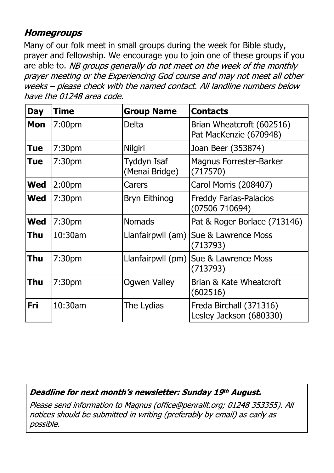## **Homegroups**

Many of our folk meet in small groups during the week for Bible study, prayer and fellowship. We encourage you to join one of these groups if you are able to. NB groups generally do not meet on the week of the monthly prayer meeting or the Experiencing God course and may not meet all other weeks - please check with the named contact. All landline numbers below have the 01248 area code.

| <b>Day</b> | <b>Time</b>        | <b>Group Name</b>             | <b>Contacts</b>                                     |
|------------|--------------------|-------------------------------|-----------------------------------------------------|
| <b>Mon</b> | 7:00 <sub>pm</sub> | Delta                         | Brian Wheatcroft (602516)<br>Pat MacKenzie (670948) |
| <b>Tue</b> | 7:30 <sub>pm</sub> | <b>Nilgiri</b>                | Joan Beer (353874)                                  |
| <b>Tue</b> | 7:30 <sub>pm</sub> | Tyddyn Isaf<br>(Menai Bridge) | <b>Magnus Forrester-Barker</b><br>(717570)          |
| <b>Wed</b> | 2:00 <sub>pm</sub> | Carers                        | Carol Morris (208407)                               |
| <b>Wed</b> | 7:30 <sub>pm</sub> | <b>Bryn Eithinog</b>          | <b>Freddy Farias-Palacios</b><br>(07506710694)      |
| <b>Wed</b> | 7:30 <sub>pm</sub> | <b>Nomads</b>                 | Pat & Roger Borlace (713146)                        |
| Thu        | 10:30am            | Llanfairpwll (am)             | Sue & Lawrence Moss<br>(713793)                     |
| Thu        | 7:30 <sub>pm</sub> | Llanfairpwll (pm)             | Sue & Lawrence Moss<br>(713793)                     |
| Thu        | 7:30 <sub>pm</sub> | <b>Ogwen Valley</b>           | Brian & Kate Wheatcroft<br>(602516)                 |
| Fri        | 10:30am            | The Lydias                    | Freda Birchall (371316)<br>Lesley Jackson (680330)  |

Deadline for next month's newsletter: Sunday 19th August.

Please send information to Magnus (office@penrallt.org; 01248 353355). All notices should be submitted in writing (preferably by email) as early as possible.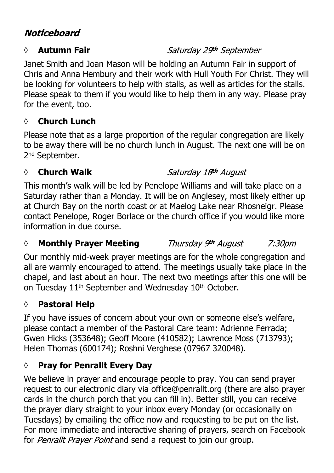## **Noticeboard**

#### *◊* **Autumn Fair**

Janet Smith and Joan Mason will be holding an Autumn Fair in support of Chris and Anna Hembury and their work with Hull Youth For Christ. They will be looking for volunteers to help with stalls, as well as articles for the stalls. Please speak to them if you would like to help them in any way. Please pray for the event, too.

## **◊ Church Lunch**

Please note that as a large proportion of the regular congregation are likely to be away there will be no church lunch in August. The next one will be on 2<sup>nd</sup> September.

## *◊* **Church Walk**

## Saturday 18th August

This month's walk will be led by Penelope Williams and will take place on a Saturday rather than a Monday. It will be on Anglesey, most likely either up at Church Bay on the north coast or at Maelog Lake near Rhosneigr. Please contact Penelope, Roger Borlace or the church office if you would like more information in due course.

#### Thursday 9th August *◊* **Monthly Prayer Meeting**

Our monthly mid-week prayer meetings are for the whole congregation and all are warmly encouraged to attend. The meetings usually take place in the chapel, and last about an hour. The next two meetings after this one will be on Tuesday 11<sup>th</sup> September and Wednesday 10<sup>th</sup> October.

## **◊ Pastoral Help**

If you have issues of concern about your own or someone else's welfare, please contact a member of the Pastoral Care team: Adrienne Ferrada; Gwen Hicks (353648); Geoff Moore (410582); Lawrence Moss (713793); Helen Thomas (600174); Roshni Verghese (07967 320048).

## **◊ Pray for Penrallt Every Day**

We believe in prayer and encourage people to pray. You can send prayer request to our electronic diary via office@penrallt.org (there are also prayer cards in the church porch that you can fill in). Better still, you can receive the prayer diary straight to your inbox every Monday (or occasionally on Tuesdays) by emailing the office now and requesting to be put on the list. For more immediate and interactive sharing of prayers, search on Facebook for Penrallt Prayer Point and send a request to join our group.

## Saturday 29th September

7:30pm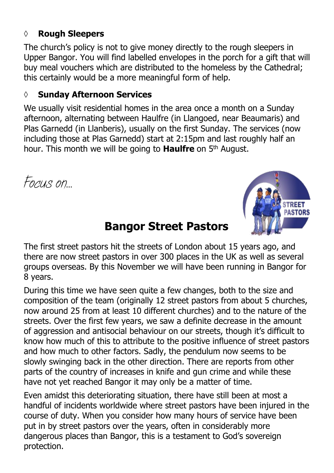#### **◊ Rough Sleepers**

The church's policy is not to give money directly to the rough sleepers in Upper Bangor. You will find labelled envelopes in the porch for a gift that will buy meal vouchers which are distributed to the homeless by the Cathedral; this certainly would be a more meaningful form of help.

#### **◊ Sunday Afternoon Services**

We usually visit residential homes in the area once a month on a Sunday afternoon, alternating between Haulfre (in Llangoed, near Beaumaris) and Plas Garnedd (in Llanberis), usually on the first Sunday. The services (now including those at Plas Garnedd) start at 2:15pm and last roughly half an hour. This month we will be going to **Haulfre** on 5th August.

*Focus on…*



# **Bangor Street Pastors**

The first street pastors hit the streets of London about 15 years ago, and there are now street pastors in over 300 places in the UK as well as several groups overseas. By this November we will have been running in Bangor for 8 years.

During this time we have seen quite a few changes, both to the size and composition of the team (originally 12 street pastors from about 5 churches, now around 25 from at least 10 different churches) and to the nature of the streets. Over the first few years, we saw a definite decrease in the amount of aggression and antisocial behaviour on our streets, though it's difficult to know how much of this to attribute to the positive influence of street pastors and how much to other factors. Sadly, the pendulum now seems to be slowly swinging back in the other direction. There are reports from other parts of the country of increases in knife and gun crime and while these have not yet reached Bangor it may only be a matter of time.

Even amidst this deteriorating situation, there have still been at most a handful of incidents worldwide where street pastors have been injured in the course of duty. When you consider how many hours of service have been put in by street pastors over the years, often in considerably more dangerous places than Bangor, this is a testament to God's sovereign protection.